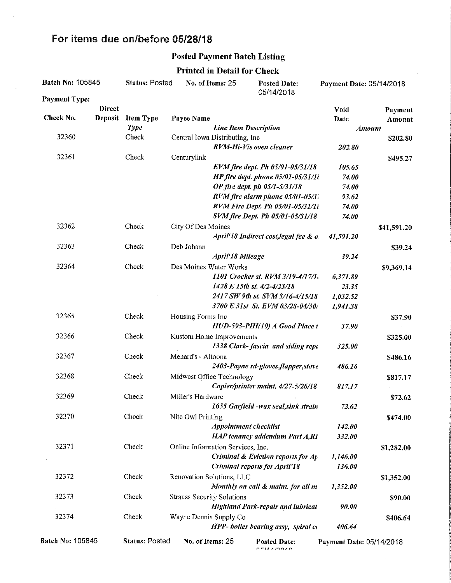## For items due on/before 05/28/18

## Posted Payment Batch Listing

## Printed in Detail for Check

| Batch No: 105845     |                | <b>Status: Posted</b> |                                   | No. of Items: 25<br><b>Posted Date:</b><br>05/14/2018 |                                                                                                                                                                                                                                                                                                                                                                                                             | Payment Date: 05/14/2018 |             |
|----------------------|----------------|-----------------------|-----------------------------------|-------------------------------------------------------|-------------------------------------------------------------------------------------------------------------------------------------------------------------------------------------------------------------------------------------------------------------------------------------------------------------------------------------------------------------------------------------------------------------|--------------------------|-------------|
| <b>Payment Type:</b> |                |                       |                                   |                                                       |                                                                                                                                                                                                                                                                                                                                                                                                             |                          |             |
|                      | <b>Direct</b>  |                       |                                   |                                                       |                                                                                                                                                                                                                                                                                                                                                                                                             | Void                     | Payment     |
| Check No.            | <b>Deposit</b> | <b>Item Type</b>      | Payee Name                        |                                                       |                                                                                                                                                                                                                                                                                                                                                                                                             | Date                     | Amount      |
|                      |                | Type                  | <b>Line Item Description</b>      |                                                       |                                                                                                                                                                                                                                                                                                                                                                                                             | <b>Amount</b>            |             |
| 32360                |                | Check                 | Central Iowa Distributing, Inc    |                                                       |                                                                                                                                                                                                                                                                                                                                                                                                             |                          | \$202.80    |
|                      |                |                       |                                   |                                                       | RVM-Hi-Vis oven cleaner                                                                                                                                                                                                                                                                                                                                                                                     | 202.80                   |             |
| 32361                |                | Check                 | Centurylink                       |                                                       |                                                                                                                                                                                                                                                                                                                                                                                                             |                          | \$495.27    |
|                      |                |                       |                                   |                                                       | EVM fire dept. Ph 05/01-05/31/18                                                                                                                                                                                                                                                                                                                                                                            | 105.65                   |             |
|                      |                |                       |                                   |                                                       | HP fire dept. phone $05/01$ -05/31/11                                                                                                                                                                                                                                                                                                                                                                       | 74.00                    |             |
|                      |                |                       |                                   |                                                       | OP fire dept. ph 05/1-5/31/18                                                                                                                                                                                                                                                                                                                                                                               | 74.00                    |             |
|                      |                |                       |                                   |                                                       | RVM fire alarm phone 05/01-05/31                                                                                                                                                                                                                                                                                                                                                                            | 93.62                    |             |
|                      |                |                       |                                   |                                                       | RVM Fire Dept. Ph 05/01-05/31/11                                                                                                                                                                                                                                                                                                                                                                            | 74.00                    |             |
| 32362                |                |                       |                                   |                                                       | SVM fire Dept. Ph 05/01-05/31/18                                                                                                                                                                                                                                                                                                                                                                            | 74.00                    |             |
|                      |                | Check                 | City Of Des Moines                |                                                       |                                                                                                                                                                                                                                                                                                                                                                                                             |                          | \$41,591.20 |
|                      |                |                       |                                   |                                                       | April'18 Indirect cost, legal fee & o.                                                                                                                                                                                                                                                                                                                                                                      | 41,591.20                |             |
| 32363                |                | Check                 | Deb Johann                        |                                                       |                                                                                                                                                                                                                                                                                                                                                                                                             |                          | \$39.24     |
|                      |                |                       |                                   | <b>April'18 Mileage</b>                               |                                                                                                                                                                                                                                                                                                                                                                                                             | 39.24                    |             |
| 32364                |                | Check                 | Des Moines Water Works            |                                                       |                                                                                                                                                                                                                                                                                                                                                                                                             |                          | \$9,369.14  |
|                      |                |                       |                                   |                                                       | 1101 Crocker st. RVM 3/19-4/17/1.                                                                                                                                                                                                                                                                                                                                                                           | 6,371.89                 |             |
|                      |                |                       |                                   |                                                       | 1428 E 15th st. 4/2-4/23/18                                                                                                                                                                                                                                                                                                                                                                                 | 23.35                    |             |
|                      |                |                       |                                   |                                                       | 2417 SW 9th st. SVM 3/16-4/15/18                                                                                                                                                                                                                                                                                                                                                                            | 1,032.52                 |             |
|                      |                |                       |                                   |                                                       | 3700 E 31st St. EVM 03/28-04/30/                                                                                                                                                                                                                                                                                                                                                                            | 1,941.38                 |             |
| 32365                |                | Check                 | Housing Forms Inc                 |                                                       |                                                                                                                                                                                                                                                                                                                                                                                                             |                          | \$37.90     |
|                      |                |                       |                                   |                                                       | HUD-593-PIH(10) A Good Place t                                                                                                                                                                                                                                                                                                                                                                              | 37.90                    |             |
| 32366                |                | Check                 | Kustom Home Improvements          |                                                       |                                                                                                                                                                                                                                                                                                                                                                                                             |                          | \$325.00    |
|                      |                |                       |                                   |                                                       | 1338 Clark-fascia and siding rept                                                                                                                                                                                                                                                                                                                                                                           | 325.00                   |             |
| 32367                |                | Check                 | Menard's - Altoona                |                                                       |                                                                                                                                                                                                                                                                                                                                                                                                             |                          | \$486.16    |
|                      |                |                       |                                   |                                                       | 2403-Payne rd-gloves, flapper, stove                                                                                                                                                                                                                                                                                                                                                                        | 486.16                   |             |
| 32368                |                | Check                 | Midwest Office Technology         |                                                       |                                                                                                                                                                                                                                                                                                                                                                                                             |                          | \$817.17    |
|                      |                |                       |                                   |                                                       | Copier/printer maint. 4/27-5/26/18                                                                                                                                                                                                                                                                                                                                                                          | 817.17                   |             |
| 32369                |                | Check                 | Miller's Hardware                 |                                                       |                                                                                                                                                                                                                                                                                                                                                                                                             |                          | \$72.62     |
|                      |                |                       |                                   |                                                       | 1655 Garfield -wax seal, sink strain                                                                                                                                                                                                                                                                                                                                                                        | 72.62                    |             |
| 32370                |                | Check                 | Nite Owl Printing                 |                                                       |                                                                                                                                                                                                                                                                                                                                                                                                             |                          | \$474.00    |
|                      |                |                       |                                   | Appointment checklist                                 | HAP tenancy addendum Part A,RI                                                                                                                                                                                                                                                                                                                                                                              | 142.00<br>332.00         |             |
| 32371                |                | Check                 |                                   |                                                       |                                                                                                                                                                                                                                                                                                                                                                                                             |                          |             |
|                      |                |                       | Online Information Services, Inc. |                                                       | Criminal & Eviction reports for A <sub>L</sub>                                                                                                                                                                                                                                                                                                                                                              |                          | \$1,282.00  |
|                      |                |                       |                                   |                                                       | <b>Criminal reports for April'18</b>                                                                                                                                                                                                                                                                                                                                                                        | 1,146.00<br>136.00       |             |
| 32372                |                |                       | Renovation Solutions, LLC         |                                                       |                                                                                                                                                                                                                                                                                                                                                                                                             |                          |             |
|                      |                | Check                 |                                   |                                                       | Monthly on call & maint, for all m                                                                                                                                                                                                                                                                                                                                                                          |                          | \$1,352.00  |
|                      |                |                       |                                   |                                                       |                                                                                                                                                                                                                                                                                                                                                                                                             | 1,352.00                 |             |
| 32373                |                | Check                 | <b>Strauss Security Solutions</b> |                                                       |                                                                                                                                                                                                                                                                                                                                                                                                             |                          | \$90.00     |
|                      |                |                       |                                   |                                                       | <b>Highland Park-repair and lubricat</b>                                                                                                                                                                                                                                                                                                                                                                    | 90.00                    |             |
| 32374                |                | Check                 | Wayne Dennis Supply Co            |                                                       |                                                                                                                                                                                                                                                                                                                                                                                                             |                          | \$406.64    |
|                      |                |                       |                                   |                                                       | HPP- boiler bearing assy, spiral co                                                                                                                                                                                                                                                                                                                                                                         | 406.64                   |             |
| Batch No: 105845     |                | <b>Status: Posted</b> | No. of Items: 25                  |                                                       | <b>Posted Date:</b><br>$\overline{C}$ $\overline{C}$ $\overline{C}$ $\overline{C}$ $\overline{C}$ $\overline{C}$ $\overline{C}$ $\overline{C}$ $\overline{C}$ $\overline{C}$ $\overline{C}$ $\overline{C}$ $\overline{C}$ $\overline{C}$ $\overline{C}$ $\overline{C}$ $\overline{C}$ $\overline{C}$ $\overline{C}$ $\overline{C}$ $\overline{C}$ $\overline{C}$ $\overline{C}$ $\overline{C}$ $\overline{$ | Payment Date: 05/14/2018 |             |